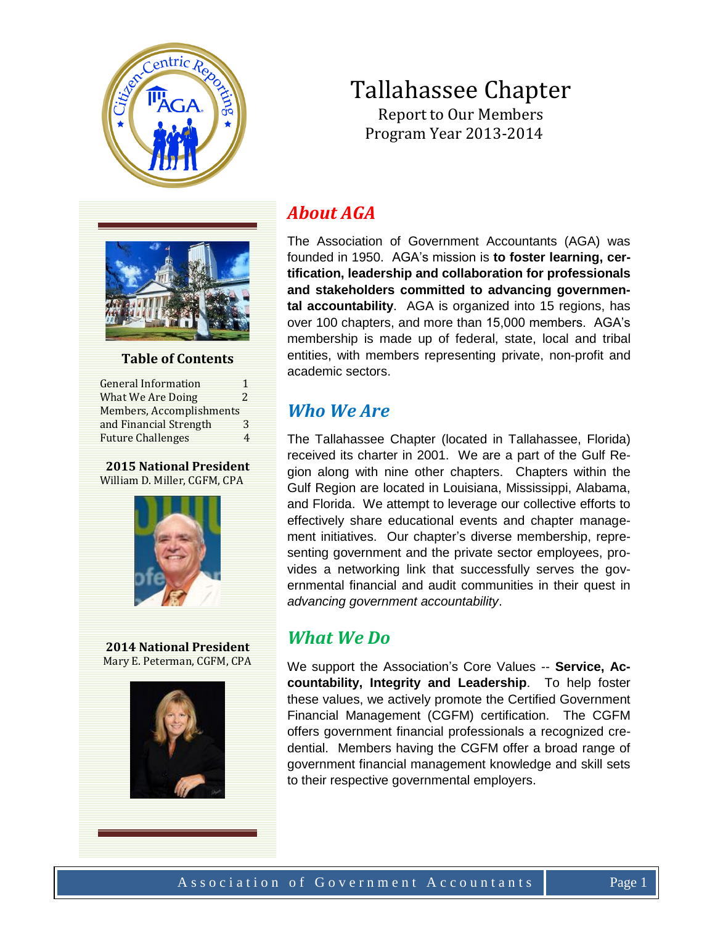

## Tallahassee Chapter Report to Our Members Program Year 2013-2014



#### **Table of Contents**

General Information 1 What We Are Doing 2 Members, Accomplishments and Financial Strength 3 Future Challenges 4

#### **2015 National President** William D. Miller, CGFM, CPA



**2014 National President** Mary E. Peterman, CGFM, CPA



# *About AGA*

The Association of Government Accountants (AGA) was founded in 1950. AGA's mission is **to foster learning, certification, leadership and collaboration for professionals and stakeholders committed to advancing governmental accountability**. AGA is organized into 15 regions, has over 100 chapters, and more than 15,000 members. AGA's membership is made up of federal, state, local and tribal entities, with members representing private, non-profit and academic sectors.

### *Who We Are*

The Tallahassee Chapter (located in Tallahassee, Florida) received its charter in 2001. We are a part of the Gulf Region along with nine other chapters. Chapters within the Gulf Region are located in Louisiana, Mississippi, Alabama, and Florida. We attempt to leverage our collective efforts to effectively share educational events and chapter management initiatives. Our chapter's diverse membership, representing government and the private sector employees, provides a networking link that successfully serves the governmental financial and audit communities in their quest in *advancing government accountability*.

### *What We Do*

We support the Association's Core Values -- **Service, Accountability, Integrity and Leadership**. To help foster these values, we actively promote the Certified Government Financial Management (CGFM) certification. The CGFM offers government financial professionals a recognized credential. Members having the CGFM offer a broad range of government financial management knowledge and skill sets to their respective governmental employers.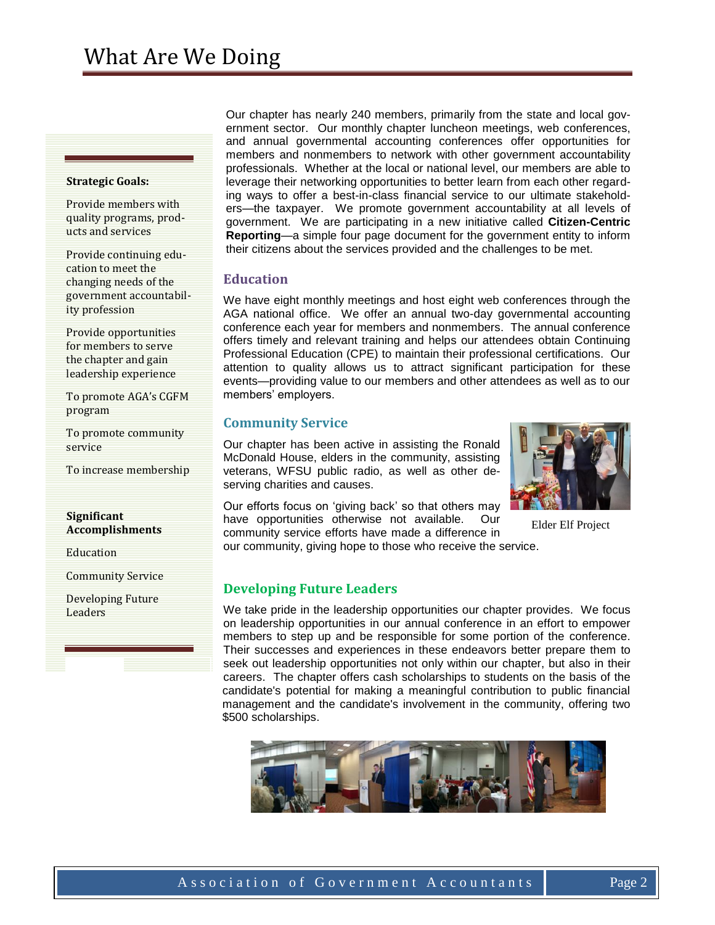#### **Strategic Goals:**

Provide members with quality programs, products and services

Provide continuing education to meet the changing needs of the government accountability profession

Provide opportunities for members to serve the chapter and gain leadership experience

To promote AGA's CGFM program

To promote community service

To increase membership

#### **Significant Accomplishments**

Education

Community Service

Developing Future Leaders

Our chapter has nearly 240 members, primarily from the state and local government sector. Our monthly chapter luncheon meetings, web conferences, and annual governmental accounting conferences offer opportunities for members and nonmembers to network with other government accountability professionals. Whether at the local or national level, our members are able to leverage their networking opportunities to better learn from each other regarding ways to offer a best-in-class financial service to our ultimate stakeholders—the taxpayer. We promote government accountability at all levels of government. We are participating in a new initiative called **Citizen-Centric Reporting**—a simple four page document for the government entity to inform their citizens about the services provided and the challenges to be met.

#### **Education**

We have eight monthly meetings and host eight web conferences through the AGA national office. We offer an annual two-day governmental accounting conference each year for members and nonmembers. The annual conference offers timely and relevant training and helps our attendees obtain Continuing Professional Education (CPE) to maintain their professional certifications. Our attention to quality allows us to attract significant participation for these events—providing value to our members and other attendees as well as to our members' employers.

#### **Community Service**

Our chapter has been active in assisting the Ronald McDonald House, elders in the community, assisting veterans, WFSU public radio, as well as other deserving charities and causes.



Elder Elf Project

Our efforts focus on 'giving back' so that others may have opportunities otherwise not available. Our community service efforts have made a difference in

our community, giving hope to those who receive the service.

#### **Developing Future Leaders**

We take pride in the leadership opportunities our chapter provides. We focus on leadership opportunities in our annual conference in an effort to empower members to step up and be responsible for some portion of the conference. Their successes and experiences in these endeavors better prepare them to seek out leadership opportunities not only within our chapter, but also in their careers. The chapter offers cash scholarships to students on the basis of the candidate's potential for making a meaningful contribution to public financial management and the candidate's involvement in the community, offering two \$500 scholarships.

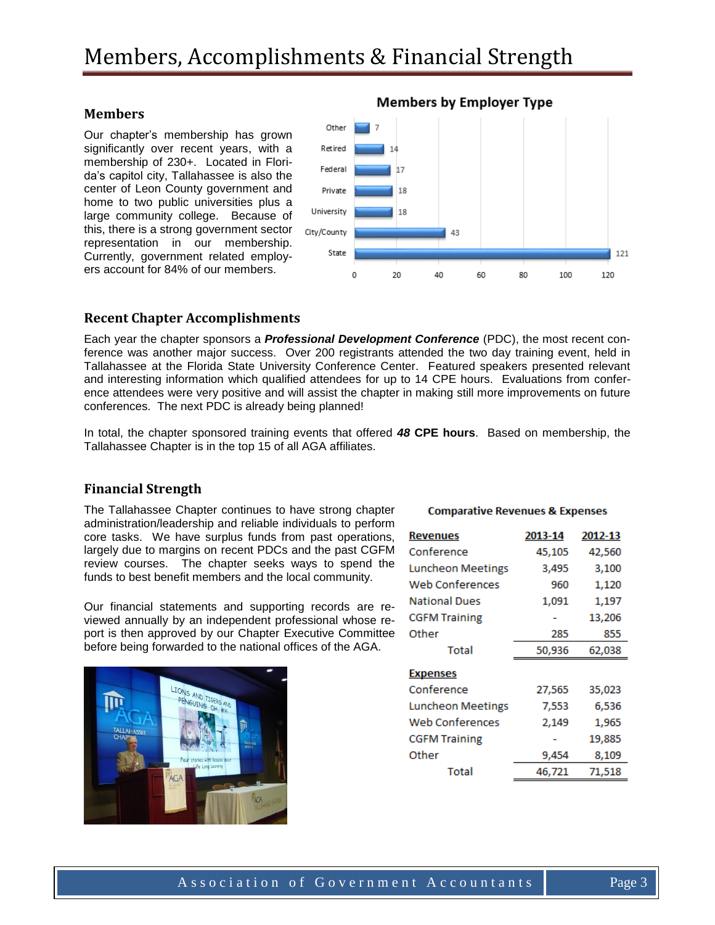#### **Members**

Our chapter's membership has grown significantly over recent years, with a membership of 230+. Located in Florida's capitol city, Tallahassee is also the center of Leon County government and home to two public universities plus a large community college. Because of this, there is a strong government sector representation in our membership. Currently, government related employers account for 84% of our members.



#### **Recent Chapter Accomplishments**

Each year the chapter sponsors a *Professional Development Conference* (PDC), the most recent conference was another major success. Over 200 registrants attended the two day training event, held in Tallahassee at the Florida State University Conference Center. Featured speakers presented relevant and interesting information which qualified attendees for up to 14 CPE hours. Evaluations from conference attendees were very positive and will assist the chapter in making still more improvements on future conferences. The next PDC is already being planned!

In total, the chapter sponsored training events that offered *48* **CPE hours**. Based on membership, the Tallahassee Chapter is in the top 15 of all AGA affiliates.

#### **Financial Strength**

The Tallahassee Chapter continues to have strong chapter administration/leadership and reliable individuals to perform core tasks. We have surplus funds from past operations, largely due to margins on recent PDCs and the past CGFM review courses. The chapter seeks ways to spend the funds to best benefit members and the local community.

Our financial statements and supporting records are reviewed annually by an independent professional whose report is then approved by our Chapter Executive Committee before being forwarded to the national offices of the AGA.



#### **Comparative Revenues & Expenses**

| <b>Revenues</b>          | 2013-14 | 2012-13 |
|--------------------------|---------|---------|
| Conference               | 45,105  | 42,560  |
| Luncheon Meetings        | 3,495   | 3,100   |
| <b>Web Conferences</b>   | 960     | 1,120   |
| <b>National Dues</b>     | 1,091   | 1,197   |
| <b>CGFM Training</b>     |         | 13,206  |
| Other                    | 285     | 855     |
| Total                    | 50,936  | 62,038  |
| <b>Expenses</b>          |         |         |
| Conference               | 27,565  | 35,023  |
| <b>Luncheon Meetings</b> | 7,553   | 6,536   |
| Web Conferences          | 2,149   | 1,965   |
| <b>CGFM Training</b>     |         | 19,885  |
| Other                    | 9,454   | 8,109   |
| Total                    | 46,721  | 71,518  |